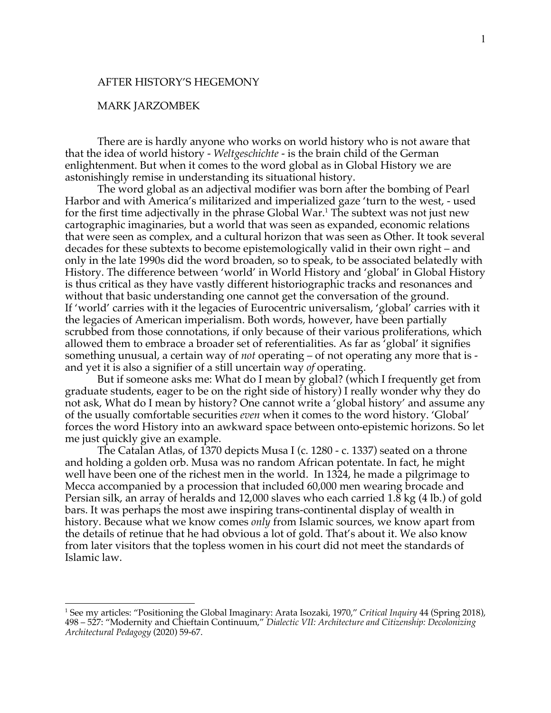## AFTER HISTORY'S HEGEMONY

## MARK JARZOMBEK

There are is hardly anyone who works on world history who is not aware that that the idea of world history - *Weltgeschichte* - is the brain child of the German enlightenment. But when it comes to the word global as in Global History we are astonishingly remise in understanding its situational history.

The word global as an adjectival modifier was born after the bombing of Pearl Harbor and with America's militarized and imperialized gaze 'turn to the west, - used for the first time adjectivally in the phrase Global War.<sup>1</sup> The subtext was not just new cartographic imaginaries, but a world that was seen as expanded, economic relations that were seen as complex, and a cultural horizon that was seen as Other. It took several decades for these subtexts to become epistemologically valid in their own right – and only in the late 1990s did the word broaden, so to speak, to be associated belatedly with History. The difference between 'world' in World History and 'global' in Global History is thus critical as they have vastly different historiographic tracks and resonances and without that basic understanding one cannot get the conversation of the ground. If 'world' carries with it the legacies of Eurocentric universalism, 'global' carries with it the legacies of American imperialism. Both words, however, have been partially scrubbed from those connotations, if only because of their various proliferations, which allowed them to embrace a broader set of referentialities. As far as 'global' it signifies something unusual, a certain way of *not* operating – of not operating any more that is and yet it is also a signifier of a still uncertain way *of* operating.

But if someone asks me: What do I mean by global? (which I frequently get from graduate students, eager to be on the right side of history) I really wonder why they do not ask, What do I mean by history? One cannot write a 'global history' and assume any of the usually comfortable securities *even* when it comes to the word history. 'Global' forces the word History into an awkward space between onto-epistemic horizons. So let me just quickly give an example.

The Catalan Atlas, of 1370 depicts Musa I (c. 1280 - c. 1337) seated on a throne and holding a golden orb. Musa was no random African potentate. In fact, he might well have been one of the richest men in the world. In 1324, he made a pilgrimage to Mecca accompanied by a procession that included 60,000 men wearing brocade and Persian silk, an array of heralds and 12,000 slaves who each carried 1.8 kg (4 lb.) of gold bars. It was perhaps the most awe inspiring trans-continental display of wealth in history. Because what we know comes *only* from Islamic sources, we know apart from the details of retinue that he had obvious a lot of gold. That's about it. We also know from later visitors that the topless women in his court did not meet the standards of Islamic law.

<sup>1</sup> See my articles: "Positioning the Global Imaginary: Arata Isozaki, 1970," *Critical Inquiry* 44 (Spring 2018), 498 – 527: "Modernity and Chieftain Continuum," *Dialectic VII: Architecture and Citizenship: Decolonizing Architectural Pedagogy* (2020) 59-67.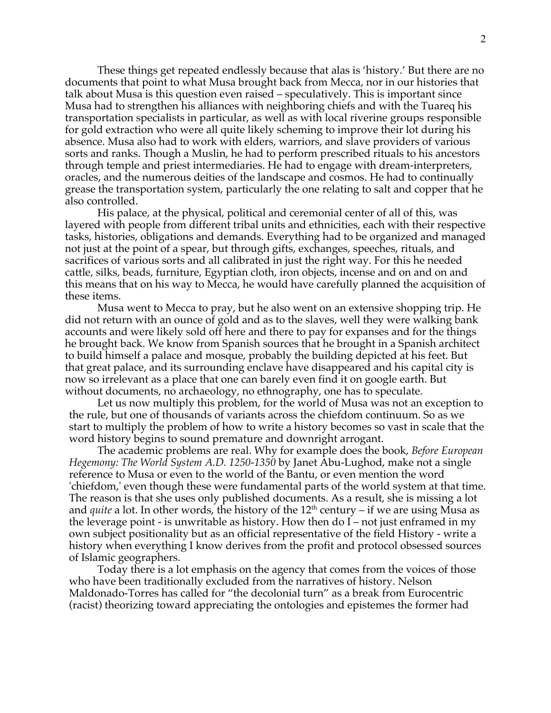These things get repeated endlessly because that alas is 'history.' But there are no documents that point to what Musa brought back from Mecca, nor in our histories that talk about Musa is this question even raised – speculatively. This is important since Musa had to strengthen his alliances with neighboring chiefs and with the Tuareq his transportation specialists in particular, as well as with local riverine groups responsible for gold extraction who were all quite likely scheming to improve their lot during his absence. Musa also had to work with elders, warriors, and slave providers of various sorts and ranks. Though a Muslin, he had to perform prescribed rituals to his ancestors through temple and priest intermediaries. He had to engage with dream-interpreters, oracles, and the numerous deities of the landscape and cosmos. He had to continually grease the transportation system, particularly the one relating to salt and copper that he also controlled.

His palace, at the physical, political and ceremonial center of all of this, was layered with people from different tribal units and ethnicities, each with their respective tasks, histories, obligations and demands. Everything had to be organized and managed not just at the point of a spear, but through gifts, exchanges, speeches, rituals, and sacrifices of various sorts and all calibrated in just the right way. For this he needed cattle, silks, beads, furniture, Egyptian cloth, iron objects, incense and on and on and this means that on his way to Mecca, he would have carefully planned the acquisition of these items.

Musa went to Mecca to pray, but he also went on an extensive shopping trip. He did not return with an ounce of gold and as to the slaves, well they were walking bank accounts and were likely sold off here and there to pay for expanses and for the things he brought back. We know from Spanish sources that he brought in a Spanish architect to build himself a palace and mosque, probably the building depicted at his feet. But that great palace, and its surrounding enclave have disappeared and his capital city is now so irrelevant as a place that one can barely even find it on google earth. But without documents, no archaeology, no ethnography, one has to speculate.

Let us now multiply this problem, for the world of Musa was not an exception to the rule, but one of thousands of variants across the chiefdom continuum. So as we start to multiply the problem of how to write a history becomes so vast in scale that the word history begins to sound premature and downright arrogant.

The academic problems are real. Why for example does the book, *Before European Hegemony: The World System A.D. 1250-1350* by Janet Abu-Lughod, make not a single reference to Musa or even to the world of the Bantu, or even mention the word 'chiefdom,' even though these were fundamental parts of the world system at that time. The reason is that she uses only published documents. As a result, she is missing a lot and *quite* a lot. In other words, the history of the  $12<sup>th</sup>$  century – if we are using Musa as the leverage point - is unwritable as history. How then do I – not just enframed in my own subject positionality but as an official representative of the field History - write a history when everything I know derives from the profit and protocol obsessed sources of Islamic geographers.

Today there is a lot emphasis on the agency that comes from the voices of those who have been traditionally excluded from the narratives of history. Nelson Maldonado-Torres has called for "the decolonial turn" as a break from Eurocentric (racist) theorizing toward appreciating the ontologies and epistemes the former had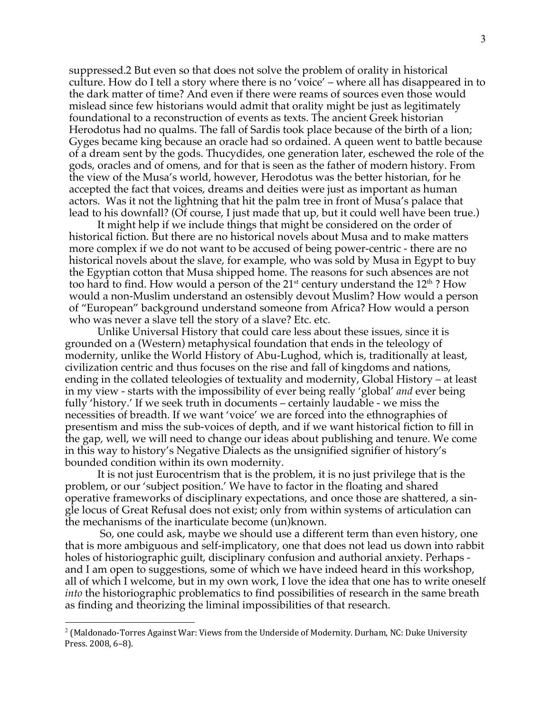suppressed.2 But even so that does not solve the problem of orality in historical culture. How do I tell a story where there is no 'voice' – where all has disappeared in to the dark matter of time? And even if there were reams of sources even those would mislead since few historians would admit that orality might be just as legitimately foundational to a reconstruction of events as texts. The ancient Greek historian Herodotus had no qualms. The fall of Sardis took place because of the birth of a lion; Gyges became king because an oracle had so ordained. A queen went to battle because of a dream sent by the gods. Thucydides, one generation later, eschewed the role of the gods, oracles and of omens, and for that is seen as the father of modern history. From the view of the Musa's world, however, Herodotus was the better historian, for he accepted the fact that voices, dreams and deities were just as important as human actors. Was it not the lightning that hit the palm tree in front of Musa's palace that lead to his downfall? (Of course, I just made that up, but it could well have been true.)

It might help if we include things that might be considered on the order of historical fiction. But there are no historical novels about Musa and to make matters more complex if we do not want to be accused of being power-centric - there are no historical novels about the slave, for example, who was sold by Musa in Egypt to buy the Egyptian cotton that Musa shipped home. The reasons for such absences are not too hard to find. How would a person of the  $21<sup>st</sup>$  century understand the  $12<sup>th</sup>$ ? How would a non-Muslim understand an ostensibly devout Muslim? How would a person of "European" background understand someone from Africa? How would a person who was never a slave tell the story of a slave? Etc. etc.

Unlike Universal History that could care less about these issues, since it is grounded on a (Western) metaphysical foundation that ends in the teleology of modernity, unlike the World History of Abu-Lughod, which is, traditionally at least, civilization centric and thus focuses on the rise and fall of kingdoms and nations, ending in the collated teleologies of textuality and modernity, Global History – at least in my view - starts with the impossibility of ever being really 'global' *and* ever being fully 'history.' If we seek truth in documents – certainly laudable - we miss the necessities of breadth. If we want 'voice' we are forced into the ethnographies of presentism and miss the sub-voices of depth, and if we want historical fiction to fill in the gap, well, we will need to change our ideas about publishing and tenure. We come in this way to history's Negative Dialects as the unsignified signifier of history's bounded condition within its own modernity.

It is not just Eurocentrism that is the problem, it is no just privilege that is the problem, or our 'subject position.' We have to factor in the floating and shared operative frameworks of disciplinary expectations, and once those are shattered, a single locus of Great Refusal does not exist; only from within systems of articulation can the mechanisms of the inarticulate become (un)known.

So, one could ask, maybe we should use a different term than even history, one that is more ambiguous and self-implicatory, one that does not lead us down into rabbit holes of historiographic guilt, disciplinary confusion and authorial anxiety. Perhaps and I am open to suggestions, some of which we have indeed heard in this workshop, all of which I welcome, but in my own work, I love the idea that one has to write oneself *into* the historiographic problematics to find possibilities of research in the same breath as finding and theorizing the liminal impossibilities of that research.

 $2$  (Maldonado-Torres Against War: Views from the Underside of Modernity. Durham, NC: Duke University Press. 2008, 6-8).